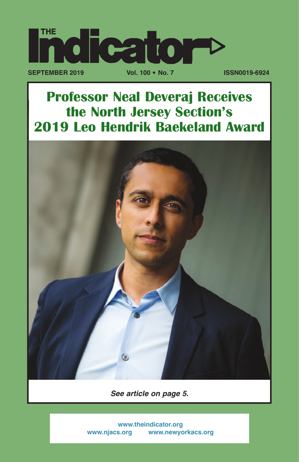

## **Professor Neal Deveraj Receives the North Jersey Section's 2019 Leo Hendrik Baekeland Award**



*See article on page 5.*

 **[www.theindicator.org](https://www.theindicator.org)   [www.njacs.org](https://www.njacs.org)   [www.newyorkacs.org](https://www.newyorkacs.org)**